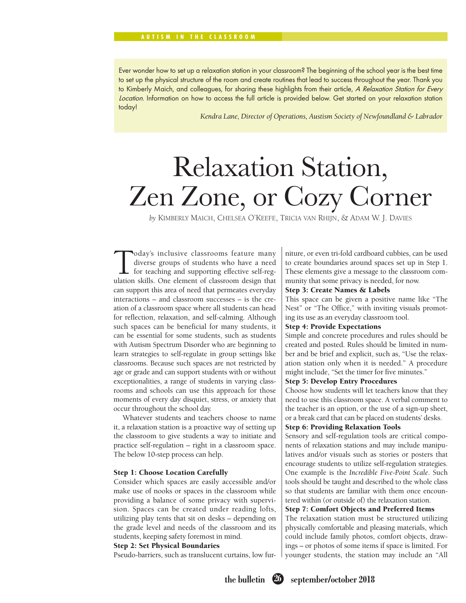#### AUTISM IN THE CLASSROOM

Ever wonder how to set up a relaxation station in your classroom? The beginning of the school year is the best time to set up the physical structure of the room and create routines that lead to success throughout the year. Thank you to Kimberly Maich, and colleagues, for sharing these highlights from their article, A Relaxation Station for Every Location. Information on how to access the full article is provided below. Get started on your relaxation station today!

*Kendra Lane, Director of Operations, Austism Society of Newfoundland & Labrador*

# Relaxation Station, Zen Zone, or Cozy Corner

*by* KIMBERLY MAICH, CHELSEA O'KEEFE, TRICIA VAN RHIJN, & ADAM W. J. DAVIES

Today's inclusive classrooms feature many<br>diverse groups of students who have a need<br>for teaching and supporting effective self-reg-<br>ulation skills. One element of classroom design that diverse groups of students who have a need for teaching and supporting effective self-regulation skills. One element of classroom design that can support this area of need that permeates everyday interactions – and classroom successes – is the creation of a classroom space where all students can head for reflection, relaxation, and self-calming. Although such spaces can be beneficial for many students, it can be essential for some students, such as students with Autism Spectrum Disorder who are beginning to learn strategies to self-regulate in group settings like classrooms. Because such spaces are not restricted by age or grade and can support students with or without exceptionalities, a range of students in varying classrooms and schools can use this approach for those moments of every day disquiet, stress, or anxiety that occur throughout the school day.

Whatever students and teachers choose to name it, a relaxation station is a proactive way of setting up the classroom to give students a way to initiate and practice self-regulation – right in a classroom space. The below 10-step process can help.

#### Step 1: Choose Location Carefully

Consider which spaces are easily accessible and/or make use of nooks or spaces in the classroom while providing a balance of some privacy with supervision. Spaces can be created under reading lofts, utilizing play tents that sit on desks – depending on the grade level and needs of the classroom and its students, keeping safety foremost in mind.

#### Step 2: Set Physical Boundaries

Pseudo-barriers, such as translucent curtains, low fur-

niture, or even tri-fold cardboard cubbies, can be used to create boundaries around spaces set up in Step 1. These elements give a message to the classroom community that some privacy is needed, for now.

#### Step 3: Create Names & Labels

This space can be given a positive name like "The Nest" or "The Office," with inviting visuals promoting its use as an everyday classroom tool.

#### Step 4: Provide Expectations

Simple and concrete procedures and rules should be created and posted. Rules should be limited in number and be brief and explicit, such as, "Use the relaxation station only when it is needed." A procedure might include, "Set the timer for five minutes."

#### Step 5: Develop Entry Procedures

Choose how students will let teachers know that they need to use this classroom space. A verbal comment to the teacher is an option, or the use of a sign-up sheet, or a break card that can be placed on students' desks.

#### Step 6: Providing Relaxation Tools

Sensory and self-regulation tools are critical components of relaxation stations and may include manipulatives and/or visuals such as stories or posters that encourage students to utilize self-regulation strategies. One example is the *Incredible Five-Point Scale*. Such tools should be taught and described to the whole class so that students are familiar with them once encountered within (or outside of) the relaxation station.

#### Step 7: Comfort Objects and Preferred Items

The relaxation station must be structured utilizing physically comfortable and pleasing materials, which could include family photos, comfort objects, drawings – or photos of some items if space is limited. For younger students, the station may include an "All